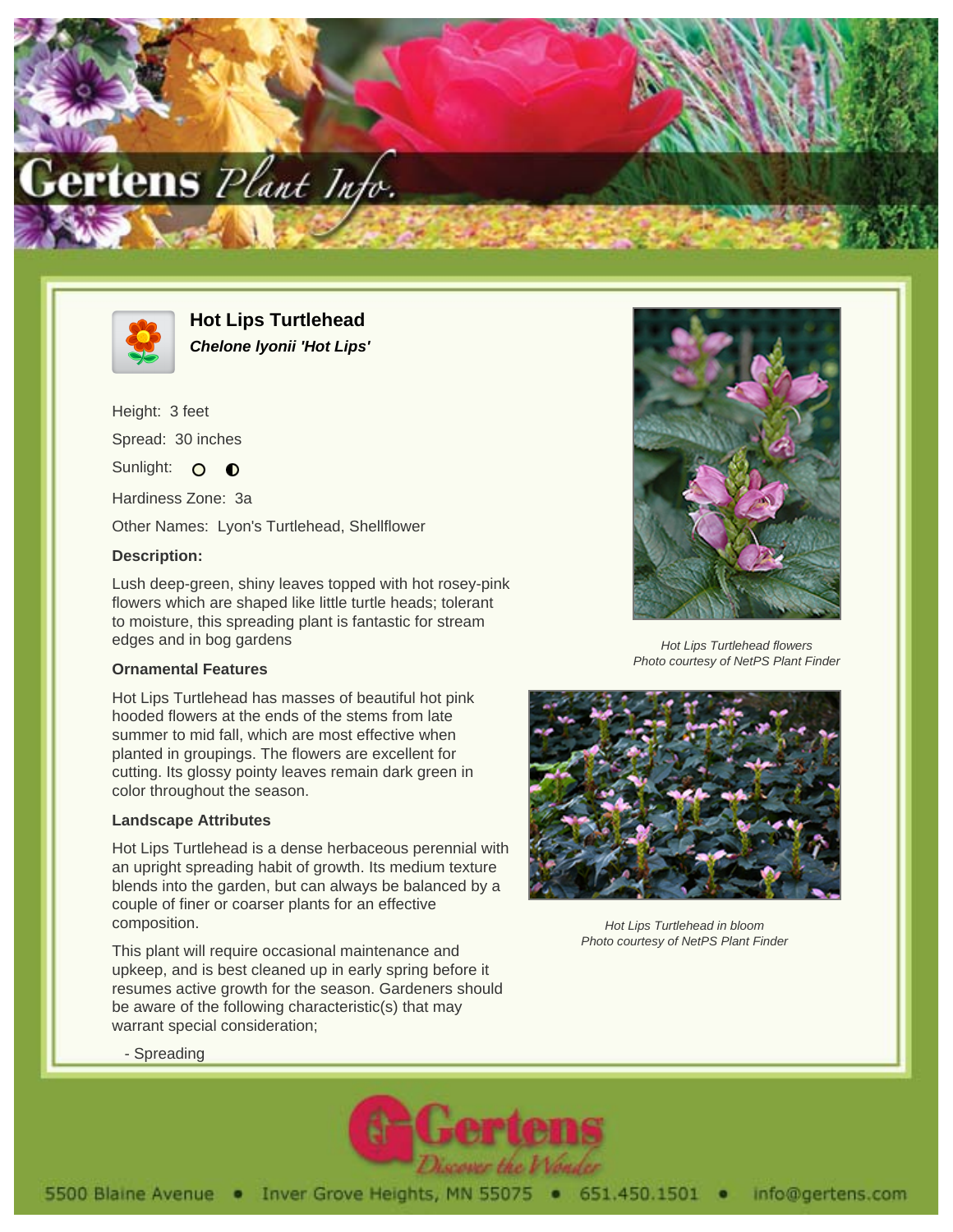



**Hot Lips Turtlehead Chelone lyonii 'Hot Lips'**

Height: 3 feet Spread: 30 inches Sunlight: O O

Hardiness Zone: 3a

Other Names: Lyon's Turtlehead, Shellflower

## **Description:**

Lush deep-green, shiny leaves topped with hot rosey-pink flowers which are shaped like little turtle heads; tolerant to moisture, this spreading plant is fantastic for stream edges and in bog gardens

## **Ornamental Features**

Hot Lips Turtlehead has masses of beautiful hot pink hooded flowers at the ends of the stems from late summer to mid fall, which are most effective when planted in groupings. The flowers are excellent for cutting. Its glossy pointy leaves remain dark green in color throughout the season.

## **Landscape Attributes**

Hot Lips Turtlehead is a dense herbaceous perennial with an upright spreading habit of growth. Its medium texture blends into the garden, but can always be balanced by a couple of finer or coarser plants for an effective composition.

This plant will require occasional maintenance and upkeep, and is best cleaned up in early spring before it resumes active growth for the season. Gardeners should be aware of the following characteristic(s) that may warrant special consideration;



Hot Lips Turtlehead flowers Photo courtesy of NetPS Plant Finder



Hot Lips Turtlehead in bloom Photo courtesy of NetPS Plant Finder

- Spreading